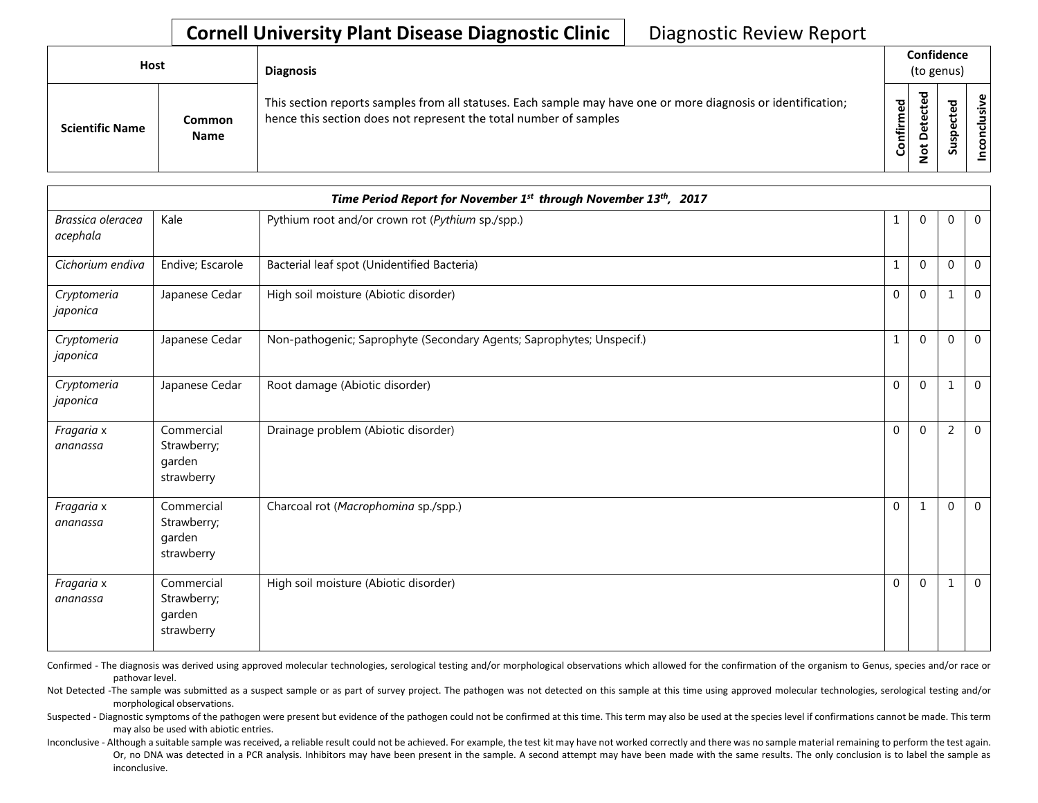## **Cornell University Plant Disease Diagnostic Clinic** | Diagnostic Review Report

| Host                   |                              | <b>Diagnosis</b>                                                                                                                                                                   |           | Confidence<br>(to genus)                     |              |    |
|------------------------|------------------------------|------------------------------------------------------------------------------------------------------------------------------------------------------------------------------------|-----------|----------------------------------------------|--------------|----|
| <b>Scientific Name</b> | <b>Common</b><br><b>Name</b> | This section reports samples from all statuses. Each sample may have one or more diagnosis or identification;<br>hence this section does not represent the total number of samples | Confirmed | ъ<br>္ၿ<br>ں<br>ىپ<br>o<br>پ<br>$\circ$<br>- | ਠ<br>s<br>ഗ് | .≥ |

| Time Period Report for November 1st through November 13th, 2017 |                                                   |                                                                       |              |              |                |                |  |  |  |
|-----------------------------------------------------------------|---------------------------------------------------|-----------------------------------------------------------------------|--------------|--------------|----------------|----------------|--|--|--|
| Brassica oleracea<br>acephala                                   | Kale                                              | Pythium root and/or crown rot (Pythium sp./spp.)                      | 1            | $\mathbf{0}$ | 0              | $\mathbf 0$    |  |  |  |
| Cichorium endiva                                                | Endive; Escarole                                  | Bacterial leaf spot (Unidentified Bacteria)                           |              | 0            | 0              | $\overline{0}$ |  |  |  |
| Cryptomeria<br>japonica                                         | Japanese Cedar                                    | High soil moisture (Abiotic disorder)                                 | $\mathbf{0}$ | $\mathbf 0$  | -1             | 0              |  |  |  |
| Cryptomeria<br>japonica                                         | Japanese Cedar                                    | Non-pathogenic; Saprophyte (Secondary Agents; Saprophytes; Unspecif.) | 1            | $\Omega$     | 0              | $\mathbf 0$    |  |  |  |
| Cryptomeria<br>japonica                                         | Japanese Cedar                                    | Root damage (Abiotic disorder)                                        | $\Omega$     | $\mathbf{0}$ | $\mathbf 1$    | $\overline{0}$ |  |  |  |
| Fragaria x<br>ananassa                                          | Commercial<br>Strawberry;<br>garden<br>strawberry | Drainage problem (Abiotic disorder)                                   | $\Omega$     | $\Omega$     | $\overline{2}$ | $\mathbf 0$    |  |  |  |
| Fragaria x<br>ananassa                                          | Commercial<br>Strawberry;<br>garden<br>strawberry | Charcoal rot (Macrophomina sp./spp.)                                  | $\mathbf{0}$ | $\mathbf{1}$ | $\mathbf 0$    | $\overline{0}$ |  |  |  |
| Fragaria x<br>ananassa                                          | Commercial<br>Strawberry;<br>garden<br>strawberry | High soil moisture (Abiotic disorder)                                 | $\Omega$     | $\mathbf{0}$ | -1             | $\mathbf 0$    |  |  |  |

Confirmed - The diagnosis was derived using approved molecular technologies, serological testing and/or morphological observations which allowed for the confirmation of the organism to Genus, species and/or race or pathovar level.

Not Detected -The sample was submitted as a suspect sample or as part of survey project. The pathogen was not detected on this sample at this time using approved molecular technologies, serological testing and/or morphological observations.

Suspected - Diagnostic symptoms of the pathogen were present but evidence of the pathogen could not be confirmed at this time. This term may also be used at the species level if confirmations cannot be made. This term may also be used with abiotic entries.

Inconclusive - Although a suitable sample was received, a reliable result could not be achieved. For example, the test kit may have not worked correctly and there was no sample material remaining to perform the test again. Or, no DNA was detected in a PCR analysis. Inhibitors may have been present in the sample. A second attempt may have been made with the same results. The only conclusion is to label the sample as inconclusive.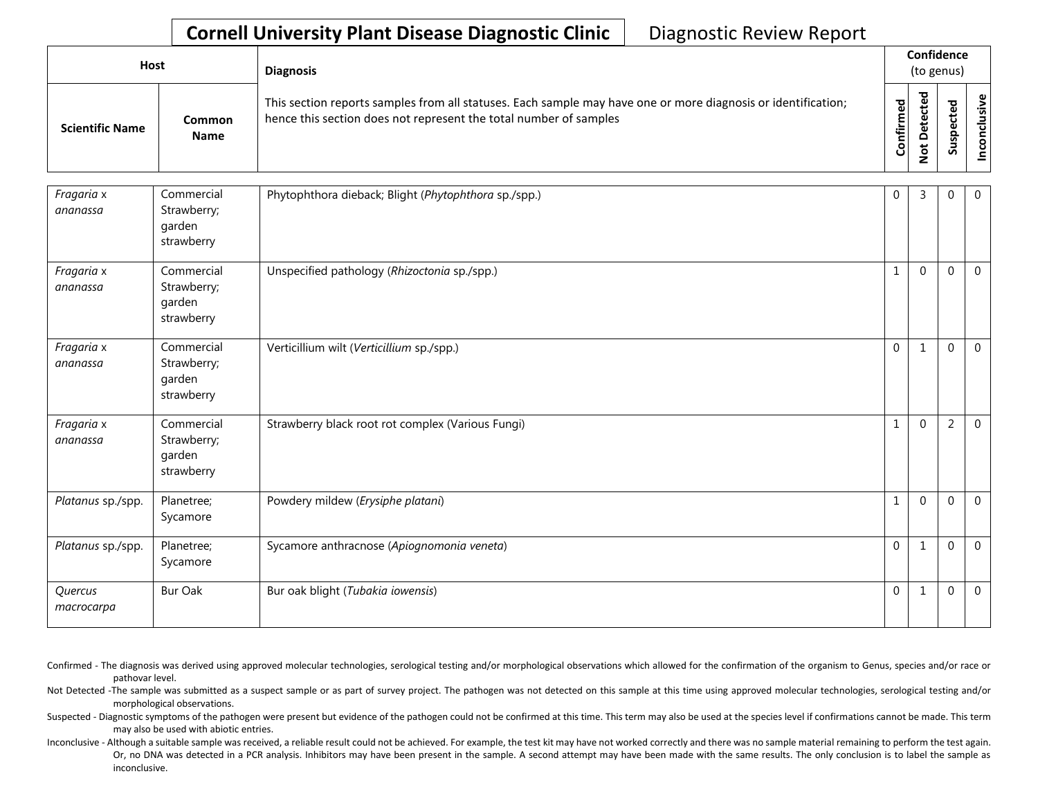## **Cornell University Plant Disease Diagnostic Clinic** | Diagnostic Review Report

| Host                   |                       | <b>Diagnosis</b>                                                                                                                                                                   |           |                                                                     | Confidence<br>(to genus) |           |
|------------------------|-----------------------|------------------------------------------------------------------------------------------------------------------------------------------------------------------------------------|-----------|---------------------------------------------------------------------|--------------------------|-----------|
| <b>Scientific Name</b> | Common<br><b>Name</b> | This section reports samples from all statuses. Each sample may have one or more diagnosis or identification;<br>hence this section does not represent the total number of samples | Confirmed | $\overline{\mathbf{c}}$<br>ڢ<br>ں<br>ω<br>ىپ<br>≏<br>$\ddot{\circ}$ | ᇃ<br>ω                   | ഄ<br>usiv |

| Fragaria x<br>ananassa | Commercial<br>Strawberry;<br>garden<br>strawberry | Phytophthora dieback; Blight (Phytophthora sp./spp.) | $\mathbf 0$  | 3            | 0              | $\overline{0}$ |
|------------------------|---------------------------------------------------|------------------------------------------------------|--------------|--------------|----------------|----------------|
| Fragaria x<br>ananassa | Commercial<br>Strawberry;<br>garden<br>strawberry | Unspecified pathology (Rhizoctonia sp./spp.)         | $\mathbf{1}$ | $\Omega$     | $\Omega$       | $\overline{0}$ |
| Fragaria x<br>ananassa | Commercial<br>Strawberry;<br>garden<br>strawberry | Verticillium wilt (Verticillium sp./spp.)            | $\mathbf 0$  | $\mathbf{1}$ | $\mathbf 0$    | $\overline{0}$ |
| Fragaria x<br>ananassa | Commercial<br>Strawberry;<br>garden<br>strawberry | Strawberry black root rot complex (Various Fungi)    | $\mathbf{1}$ | $\Omega$     | $\overline{2}$ | $\overline{0}$ |
| Platanus sp./spp.      | Planetree;<br>Sycamore                            | Powdery mildew (Erysiphe platani)                    | $\mathbf{1}$ | $\Omega$     | $\Omega$       | $\mathbf 0$    |
| Platanus sp./spp.      | Planetree;<br>Sycamore                            | Sycamore anthracnose (Apiognomonia veneta)           | $\mathbf{0}$ | 1            | $\Omega$       | $\Omega$       |
| Quercus<br>macrocarpa  | <b>Bur Oak</b>                                    | Bur oak blight (Tubakia iowensis)                    | $\mathbf{0}$ | $\mathbf{1}$ | $\mathbf 0$    | $\mathbf 0$    |

- Confirmed The diagnosis was derived using approved molecular technologies, serological testing and/or morphological observations which allowed for the confirmation of the organism to Genus, species and/or race or pathovar level.
- Not Detected -The sample was submitted as a suspect sample or as part of survey project. The pathogen was not detected on this sample at this time using approved molecular technologies, serological testing and/or morphological observations.
- Suspected Diagnostic symptoms of the pathogen were present but evidence of the pathogen could not be confirmed at this time. This term may also be used at the species level if confirmations cannot be made. This term may also be used with abiotic entries.
- Inconclusive Although a suitable sample was received, a reliable result could not be achieved. For example, the test kit may have not worked correctly and there was no sample material remaining to perform the test again. Or, no DNA was detected in a PCR analysis. Inhibitors may have been present in the sample. A second attempt may have been made with the same results. The only conclusion is to label the sample as inconclusive.